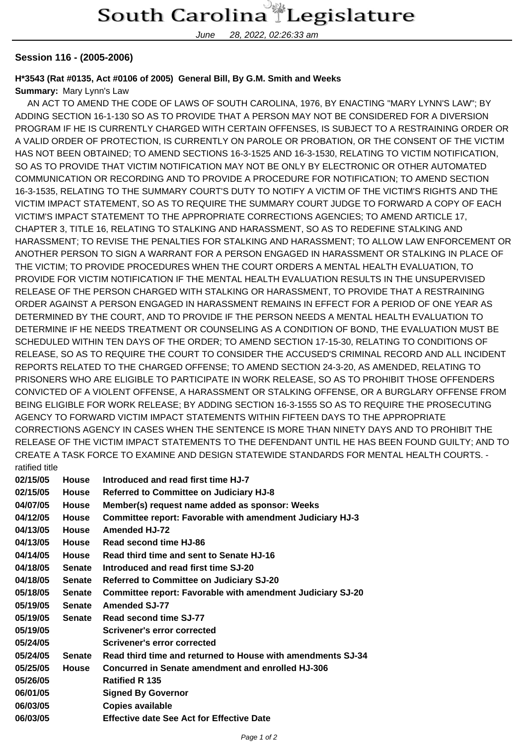## South Carolina Legislature

June 28, 2022, 02:26:33 am

### **Session 116 - (2005-2006)**

### **H\*3543 (Rat #0135, Act #0106 of 2005) General Bill, By G.M. Smith and Weeks**

### **Summary:** Mary Lynn's Law

 AN ACT TO AMEND THE CODE OF LAWS OF SOUTH CAROLINA, 1976, BY ENACTING "MARY LYNN'S LAW"; BY ADDING SECTION 16-1-130 SO AS TO PROVIDE THAT A PERSON MAY NOT BE CONSIDERED FOR A DIVERSION PROGRAM IF HE IS CURRENTLY CHARGED WITH CERTAIN OFFENSES, IS SUBJECT TO A RESTRAINING ORDER OR A VALID ORDER OF PROTECTION, IS CURRENTLY ON PAROLE OR PROBATION, OR THE CONSENT OF THE VICTIM HAS NOT BEEN OBTAINED; TO AMEND SECTIONS 16-3-1525 AND 16-3-1530, RELATING TO VICTIM NOTIFICATION, SO AS TO PROVIDE THAT VICTIM NOTIFICATION MAY NOT BE ONLY BY ELECTRONIC OR OTHER AUTOMATED COMMUNICATION OR RECORDING AND TO PROVIDE A PROCEDURE FOR NOTIFICATION; TO AMEND SECTION 16-3-1535, RELATING TO THE SUMMARY COURT'S DUTY TO NOTIFY A VICTIM OF THE VICTIM'S RIGHTS AND THE VICTIM IMPACT STATEMENT, SO AS TO REQUIRE THE SUMMARY COURT JUDGE TO FORWARD A COPY OF EACH VICTIM'S IMPACT STATEMENT TO THE APPROPRIATE CORRECTIONS AGENCIES; TO AMEND ARTICLE 17, CHAPTER 3, TITLE 16, RELATING TO STALKING AND HARASSMENT, SO AS TO REDEFINE STALKING AND HARASSMENT; TO REVISE THE PENALTIES FOR STALKING AND HARASSMENT; TO ALLOW LAW ENFORCEMENT OR ANOTHER PERSON TO SIGN A WARRANT FOR A PERSON ENGAGED IN HARASSMENT OR STALKING IN PLACE OF THE VICTIM; TO PROVIDE PROCEDURES WHEN THE COURT ORDERS A MENTAL HEALTH EVALUATION, TO PROVIDE FOR VICTIM NOTIFICATION IF THE MENTAL HEALTH EVALUATION RESULTS IN THE UNSUPERVISED RELEASE OF THE PERSON CHARGED WITH STALKING OR HARASSMENT, TO PROVIDE THAT A RESTRAINING ORDER AGAINST A PERSON ENGAGED IN HARASSMENT REMAINS IN EFFECT FOR A PERIOD OF ONE YEAR AS DETERMINED BY THE COURT, AND TO PROVIDE IF THE PERSON NEEDS A MENTAL HEALTH EVALUATION TO DETERMINE IF HE NEEDS TREATMENT OR COUNSELING AS A CONDITION OF BOND, THE EVALUATION MUST BE SCHEDULED WITHIN TEN DAYS OF THE ORDER; TO AMEND SECTION 17-15-30, RELATING TO CONDITIONS OF RELEASE, SO AS TO REQUIRE THE COURT TO CONSIDER THE ACCUSED'S CRIMINAL RECORD AND ALL INCIDENT REPORTS RELATED TO THE CHARGED OFFENSE; TO AMEND SECTION 24-3-20, AS AMENDED, RELATING TO PRISONERS WHO ARE ELIGIBLE TO PARTICIPATE IN WORK RELEASE, SO AS TO PROHIBIT THOSE OFFENDERS CONVICTED OF A VIOLENT OFFENSE, A HARASSMENT OR STALKING OFFENSE, OR A BURGLARY OFFENSE FROM BEING ELIGIBLE FOR WORK RELEASE; BY ADDING SECTION 16-3-1555 SO AS TO REQUIRE THE PROSECUTING AGENCY TO FORWARD VICTIM IMPACT STATEMENTS WITHIN FIFTEEN DAYS TO THE APPROPRIATE CORRECTIONS AGENCY IN CASES WHEN THE SENTENCE IS MORE THAN NINETY DAYS AND TO PROHIBIT THE RELEASE OF THE VICTIM IMPACT STATEMENTS TO THE DEFENDANT UNTIL HE HAS BEEN FOUND GUILTY; AND TO CREATE A TASK FORCE TO EXAMINE AND DESIGN STATEWIDE STANDARDS FOR MENTAL HEALTH COURTS. ratified title

| 02/15/05 | <b>House</b>  | Introduced and read first time HJ-7                              |
|----------|---------------|------------------------------------------------------------------|
| 02/15/05 | <b>House</b>  | <b>Referred to Committee on Judiciary HJ-8</b>                   |
| 04/07/05 | <b>House</b>  | Member(s) request name added as sponsor: Weeks                   |
| 04/12/05 | <b>House</b>  | <b>Committee report: Favorable with amendment Judiciary HJ-3</b> |
| 04/13/05 | <b>House</b>  | <b>Amended HJ-72</b>                                             |
| 04/13/05 | <b>House</b>  | Read second time HJ-86                                           |
| 04/14/05 | House         | Read third time and sent to Senate HJ-16                         |
| 04/18/05 | <b>Senate</b> | Introduced and read first time SJ-20                             |
| 04/18/05 | Senate        | <b>Referred to Committee on Judiciary SJ-20</b>                  |
| 05/18/05 | Senate        | Committee report: Favorable with amendment Judiciary SJ-20       |
| 05/19/05 | <b>Senate</b> | <b>Amended SJ-77</b>                                             |
| 05/19/05 | <b>Senate</b> | Read second time SJ-77                                           |
| 05/19/05 |               | Scrivener's error corrected                                      |
| 05/24/05 |               | <b>Scrivener's error corrected</b>                               |
| 05/24/05 | <b>Senate</b> | Read third time and returned to House with amendments SJ-34      |
| 05/25/05 | <b>House</b>  | Concurred in Senate amendment and enrolled HJ-306                |
| 05/26/05 |               | <b>Ratified R 135</b>                                            |
| 06/01/05 |               | <b>Signed By Governor</b>                                        |
| 06/03/05 |               | <b>Copies available</b>                                          |
| 06/03/05 |               | <b>Effective date See Act for Effective Date</b>                 |
|          |               |                                                                  |